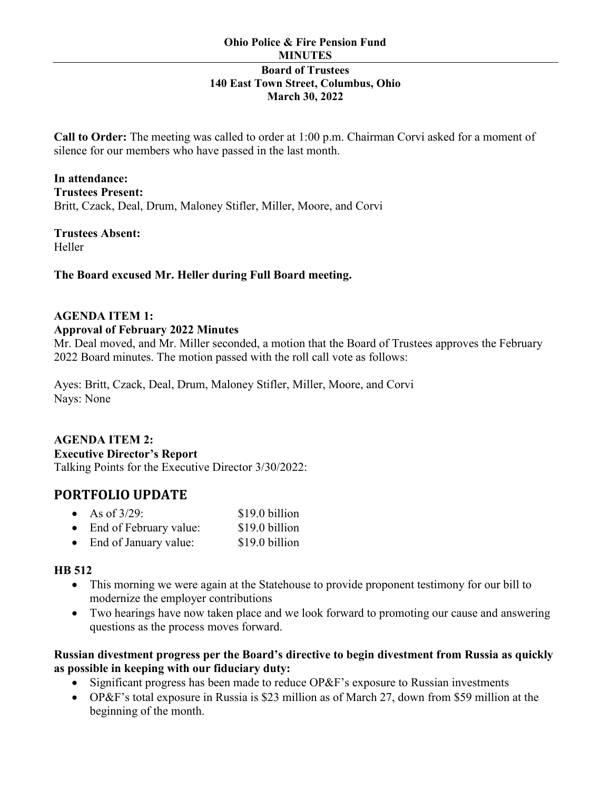**Call to Order:** The meeting was called to order at 1:00 p.m. Chairman Corvi asked for a moment of silence for our members who have passed in the last month.

**In attendance: Trustees Present:**  Britt, Czack, Deal, Drum, Maloney Stifler, Miller, Moore, and Corvi

**Trustees Absent:** Heller

### **The Board excused Mr. Heller during Full Board meeting.**

### **AGENDA ITEM 1:**

#### **Approval of February 2022 Minutes**

Mr. Deal moved, and Mr. Miller seconded, a motion that the Board of Trustees approves the February 2022 Board minutes. The motion passed with the roll call vote as follows:

Ayes: Britt, Czack, Deal, Drum, Maloney Stifler, Miller, Moore, and Corvi Nays: None

### **AGENDA ITEM 2:**

#### **Executive Director's Report**

Talking Points for the Executive Director 3/30/2022:

# **PORTFOLIO UPDATE**

| $\bullet$ | As of $3/29$ :         | \$19.0 billion |
|-----------|------------------------|----------------|
|           | End of February value: | \$19.0 billion |

• End of January value: \$19.0 billion

### **HB 512**

- This morning we were again at the Statehouse to provide proponent testimony for our bill to modernize the employer contributions
- Two hearings have now taken place and we look forward to promoting our cause and answering questions as the process moves forward.

### **Russian divestment progress per the Board's directive to begin divestment from Russia as quickly as possible in keeping with our fiduciary duty:**

- Significant progress has been made to reduce OP&F's exposure to Russian investments
- OP&F's total exposure in Russia is \$23 million as of March 27, down from \$59 million at the beginning of the month.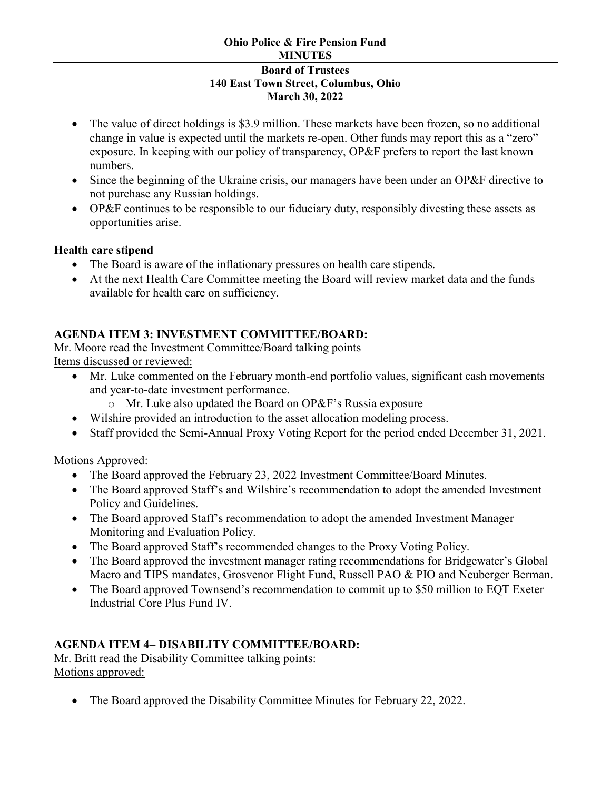# **Ohio Police & Fire Pension Fund MINUTES**

#### **Board of Trustees 140 East Town Street, Columbus, Ohio March 30, 2022**

- The value of direct holdings is \$3.9 million. These markets have been frozen, so no additional change in value is expected until the markets re-open. Other funds may report this as a "zero" exposure. In keeping with our policy of transparency, OP&F prefers to report the last known numbers.
- Since the beginning of the Ukraine crisis, our managers have been under an OP&F directive to not purchase any Russian holdings.
- OP&F continues to be responsible to our fiduciary duty, responsibly divesting these assets as opportunities arise.

### **Health care stipend**

- The Board is aware of the inflationary pressures on health care stipends.
- At the next Health Care Committee meeting the Board will review market data and the funds available for health care on sufficiency.

# **AGENDA ITEM 3: INVESTMENT COMMITTEE/BOARD:**

Mr. Moore read the Investment Committee/Board talking points Items discussed or reviewed:

- Mr. Luke commented on the February month-end portfolio values, significant cash movements and year-to-date investment performance.
	- o Mr. Luke also updated the Board on OP&F's Russia exposure
- Wilshire provided an introduction to the asset allocation modeling process.
- Staff provided the Semi-Annual Proxy Voting Report for the period ended December 31, 2021.

Motions Approved:

- The Board approved the February 23, 2022 Investment Committee/Board Minutes.
- The Board approved Staff's and Wilshire's recommendation to adopt the amended Investment Policy and Guidelines.
- The Board approved Staff's recommendation to adopt the amended Investment Manager Monitoring and Evaluation Policy.
- The Board approved Staff's recommended changes to the Proxy Voting Policy.
- The Board approved the investment manager rating recommendations for Bridgewater's Global Macro and TIPS mandates, Grosvenor Flight Fund, Russell PAO & PIO and Neuberger Berman.
- The Board approved Townsend's recommendation to commit up to \$50 million to EQT Exeter Industrial Core Plus Fund IV.

# **AGENDA ITEM 4– DISABILITY COMMITTEE/BOARD:**

Mr. Britt read the Disability Committee talking points: Motions approved:

• The Board approved the Disability Committee Minutes for February 22, 2022.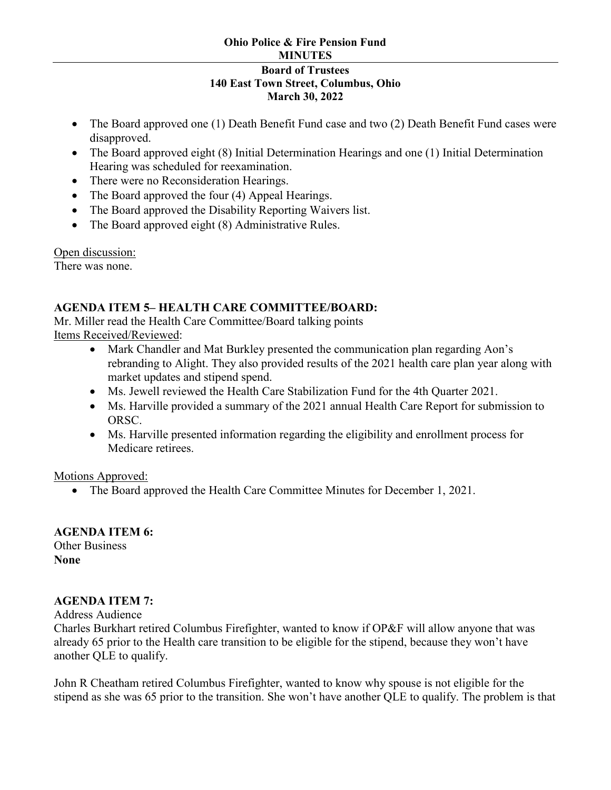#### **Ohio Police & Fire Pension Fund MINUTES Board of Trustees 140 East Town Street, Columbus, Ohio March 30, 2022**

- The Board approved one (1) Death Benefit Fund case and two (2) Death Benefit Fund cases were disapproved.
- The Board approved eight (8) Initial Determination Hearings and one (1) Initial Determination Hearing was scheduled for reexamination.
- There were no Reconsideration Hearings.
- The Board approved the four (4) Appeal Hearings.
- The Board approved the Disability Reporting Waivers list.
- The Board approved eight (8) Administrative Rules.

Open discussion:

There was none.

### **AGENDA ITEM 5– HEALTH CARE COMMITTEE/BOARD:**

Mr. Miller read the Health Care Committee/Board talking points Items Received/Reviewed:

- Mark Chandler and Mat Burkley presented the communication plan regarding Aon's rebranding to Alight. They also provided results of the 2021 health care plan year along with market updates and stipend spend.
- Ms. Jewell reviewed the Health Care Stabilization Fund for the 4th Quarter 2021.
- Ms. Harville provided a summary of the 2021 annual Health Care Report for submission to ORSC.
- Ms. Harville presented information regarding the eligibility and enrollment process for Medicare retirees.

Motions Approved:

• The Board approved the Health Care Committee Minutes for December 1, 2021.

# **AGENDA ITEM 6:**

Other Business **None**

# **AGENDA ITEM 7:**

Address Audience

Charles Burkhart retired Columbus Firefighter, wanted to know if OP&F will allow anyone that was already 65 prior to the Health care transition to be eligible for the stipend, because they won't have another QLE to qualify.

John R Cheatham retired Columbus Firefighter, wanted to know why spouse is not eligible for the stipend as she was 65 prior to the transition. She won't have another QLE to qualify. The problem is that